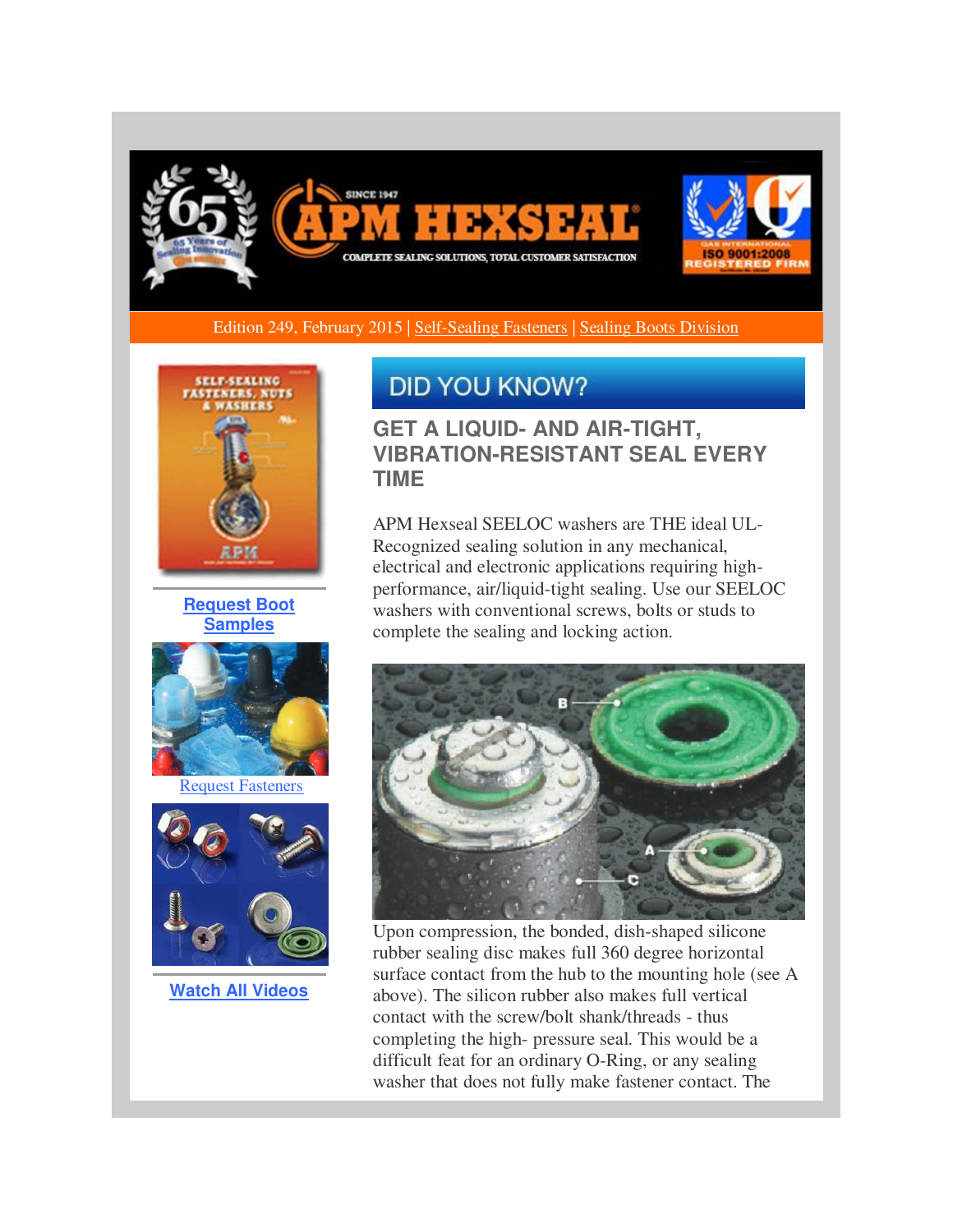

Edition 249, February 2015 | [Self-Sealing Fasteners](http://r20.rs6.net/tn.jsp?f=001NGVO_AmjkIiwyyn3DSgqen-hNv2t4K0JjHLahY8VzpsLFbFt2m1yXZoXxVTzIV_QaiZPFLneLy8k7lo548hDFb664RaWNHtfNdAUTSITwc4nZ5ynoHzgys9csukt0Of5EqI6sWLGrCARLjxZXqTrgxUagznPS--X5glPFjHJRsHQ6lYQj0fN7TQZb9PUTc6hjybEYq1VO_7I2Gi46AhaUBc5JY-GdYSGB_vzvYgpv38uPaqSHPIVIWGnZNu7AIdnPXkJDKrngO46BmX9e0_MANUzq4xAkyKAKx32vTX9TJ7xqWBlLLBijyIbxPHZr0b3&c=_NiZWoUiv9lbgd1bVUhpEgUuNLMsHKQmZmjL0NGGtoYhlA4T5_BUmg==&ch=lIWEGYIyKVLUt5Zh2hQYb9yU0OdQiMCFjAqFrCtJ0yFn6r21lbCspQ==) | Sealing Boots Division



**[Request Boot](http://r20.rs6.net/tn.jsp?f=001NGVO_AmjkIiwyyn3DSgqen-hNv2t4K0JjHLahY8VzpsLFbFt2m1yXZoXxVTzIV_QCPGKMG8asyBqPaimVeN-Of_kQ3jhgV6gs95HZvi6DGvjDWZUovrGoz42w0unJ-PO1RDKeo9EGeRwCAZGjLAkignnr-gQLRKcY64un9SP8MyjPKBY3IPxQY0xl7yKLN07EGd5PWMiiX_fRem735h-6KN8wLnBENSgrIYXltpmJFj0dCo5i6ZusXI9AAEttYnZyOv4920FAVY__coKLO8ONA8JquCIPnDwn0VuPLWyiK7COG6VePELU-e1xKjrymah&c=_NiZWoUiv9lbgd1bVUhpEgUuNLMsHKQmZmjL0NGGtoYhlA4T5_BUmg==&ch=lIWEGYIyKVLUt5Zh2hQYb9yU0OdQiMCFjAqFrCtJ0yFn6r21lbCspQ==)  [Samples](http://r20.rs6.net/tn.jsp?f=001NGVO_AmjkIiwyyn3DSgqen-hNv2t4K0JjHLahY8VzpsLFbFt2m1yXZoXxVTzIV_QCPGKMG8asyBqPaimVeN-Of_kQ3jhgV6gs95HZvi6DGvjDWZUovrGoz42w0unJ-PO1RDKeo9EGeRwCAZGjLAkignnr-gQLRKcY64un9SP8MyjPKBY3IPxQY0xl7yKLN07EGd5PWMiiX_fRem735h-6KN8wLnBENSgrIYXltpmJFj0dCo5i6ZusXI9AAEttYnZyOv4920FAVY__coKLO8ONA8JquCIPnDwn0VuPLWyiK7COG6VePELU-e1xKjrymah&c=_NiZWoUiv9lbgd1bVUhpEgUuNLMsHKQmZmjL0NGGtoYhlA4T5_BUmg==&ch=lIWEGYIyKVLUt5Zh2hQYb9yU0OdQiMCFjAqFrCtJ0yFn6r21lbCspQ==)**



[Request Fasteners](http://r20.rs6.net/tn.jsp?f=001NGVO_AmjkIiwyyn3DSgqen-hNv2t4K0JjHLahY8VzpsLFbFt2m1yXZoXxVTzIV_QFSRjIfw-O_iKr3WAp7d5YCUDEzuMdXsvACwNlarkUrLmpH8wMsgK-SAaku7YnjaBNPR_2JZOwaSb-F5ngdZf6EJ1k-MTQWplCS-qLwJNzjiOn3aZr3EbUMXcrWHxuBqhDpedJRWQWQK2gFDS8U1rEqvCdOSmRyfM3cYkvil5ETKktFD7gMudE5UWccJSaANTOfBj0sWHeHkU3ive-2DRn2RbFwnLmuoyfbFMwFOmd-v8UVId8v3EYg==&c=_NiZWoUiv9lbgd1bVUhpEgUuNLMsHKQmZmjL0NGGtoYhlA4T5_BUmg==&ch=lIWEGYIyKVLUt5Zh2hQYb9yU0OdQiMCFjAqFrCtJ0yFn6r21lbCspQ==)



**[Watch All Videos](http://r20.rs6.net/tn.jsp?f=001NGVO_AmjkIiwyyn3DSgqen-hNv2t4K0JjHLahY8VzpsLFbFt2m1yXZoXxVTzIV_Qa2Qf4u2wSKPydiOYKK0CqNQfUPA2Aos5z9lcmES8FAMnXVv8jwLz7RgiPWZwhkREVzUlQdRKZ9C5z6PZG5FJQRT0tXxqTLiYJAFb-aHdt9VKY1KzF0fXLYrCugGY79B65J5uASWk_HUygUOQeHKPkEjgJuyMIPesNnlqGsoHy1VREnPgzcJ5sqYaq7Z-NREryhK3GIG6RwYT4r4kXe_XzO1QqRyTP3vhrJ1Gr-Ws59g=&c=_NiZWoUiv9lbgd1bVUhpEgUuNLMsHKQmZmjL0NGGtoYhlA4T5_BUmg==&ch=lIWEGYIyKVLUt5Zh2hQYb9yU0OdQiMCFjAqFrCtJ0yFn6r21lbCspQ==)**

## **DID YOU KNOW?**

### **GET A LIQUID- AND AIR-TIGHT, VIBRATION-RESISTANT SEAL EVERY TIME**

APM Hexseal SEELOC washers are THE ideal UL-Recognized sealing solution in any mechanical, electrical and electronic applications requiring highperformance, air/liquid-tight sealing. Use our SEELOC washers with conventional screws, bolts or studs to complete the sealing and locking action.



Upon compression, the bonded, dish-shaped silicone rubber sealing disc makes full 360 degree horizontal surface contact from the hub to the mounting hole (see A above). The silicon rubber also makes full vertical contact with the screw/bolt shank/threads - thus completing the high- pressure seal. This would be a difficult feat for an ordinary O-Ring, or any sealing washer that does not fully make fastener contact. The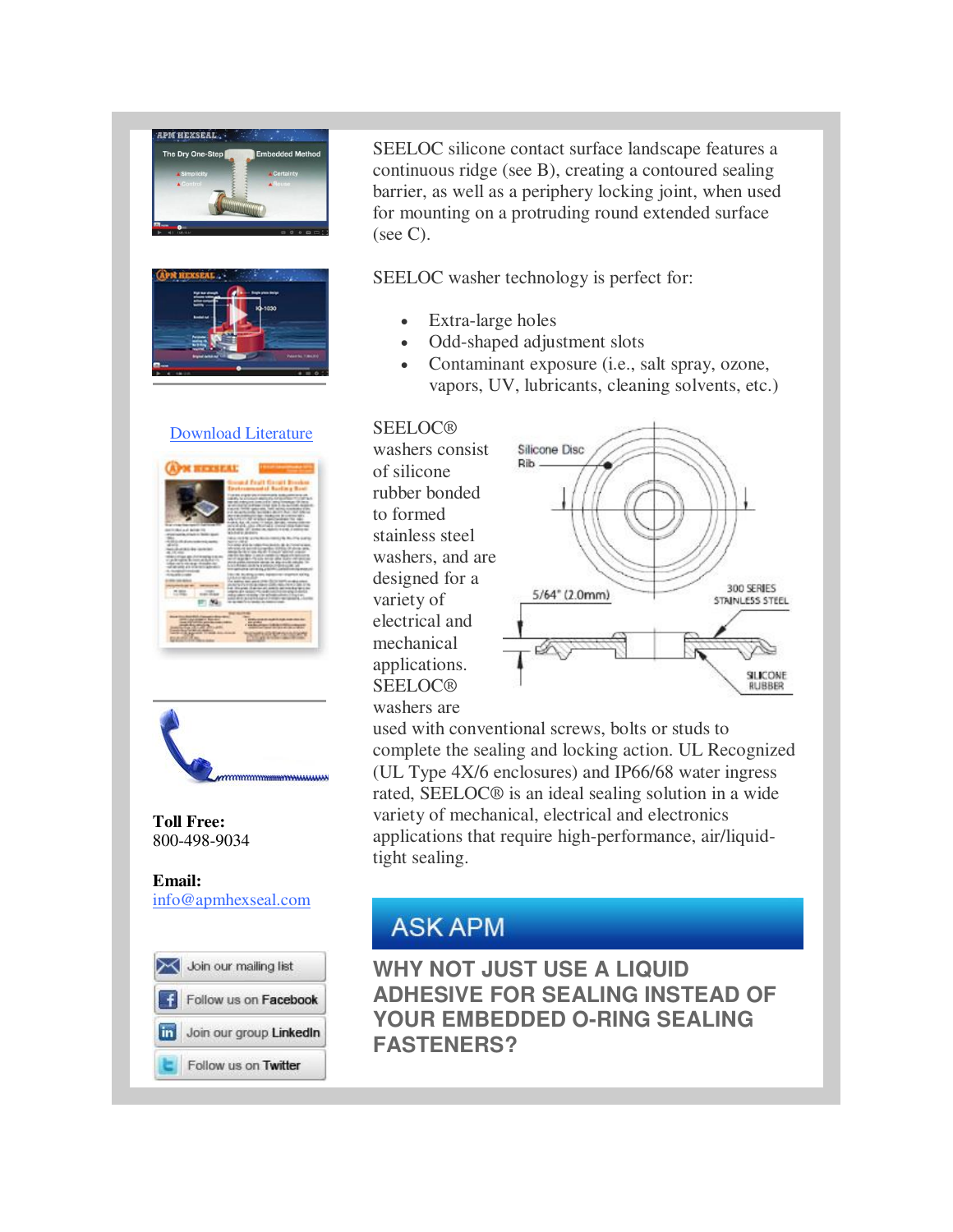

**Email:** [info@apmhexseal.com](mailto:info@apmhexseal.com)



SEELOC silicone contact surface landscape features a continuous ridge (see B), creating a contoured sealing barrier, as well as a periphery locking joint, when used for mounting on a protruding round extended surface  $(see C).$ 

SEELOC washer technology is perfect for:

- Extra-large holes
- Odd-shaped adjustment slots
- Contaminant exposure (i.e., salt spray, ozone, vapors, UV, lubricants, cleaning solvents, etc.)

#### **SEELOC®**

washers consist of silicone rubber bonded to formed stainless steel washers, and are designed for a variety of electrical and mechanical applications. **SEELOC®** washers are



used with conventional screws, bolts or studs to complete the sealing and locking action. UL Recognized (UL Type 4X/6 enclosures) and IP66/68 water ingress rated, SEELOC® is an ideal sealing solution in a wide variety of mechanical, electrical and electronics applications that require high-performance, air/liquidtight sealing.

## **ASK APM**

**WHY NOT JUST USE A LIQUID ADHESIVE FOR SEALING INSTEAD OF YOUR EMBEDDED O-RING SEALING FASTENERS?**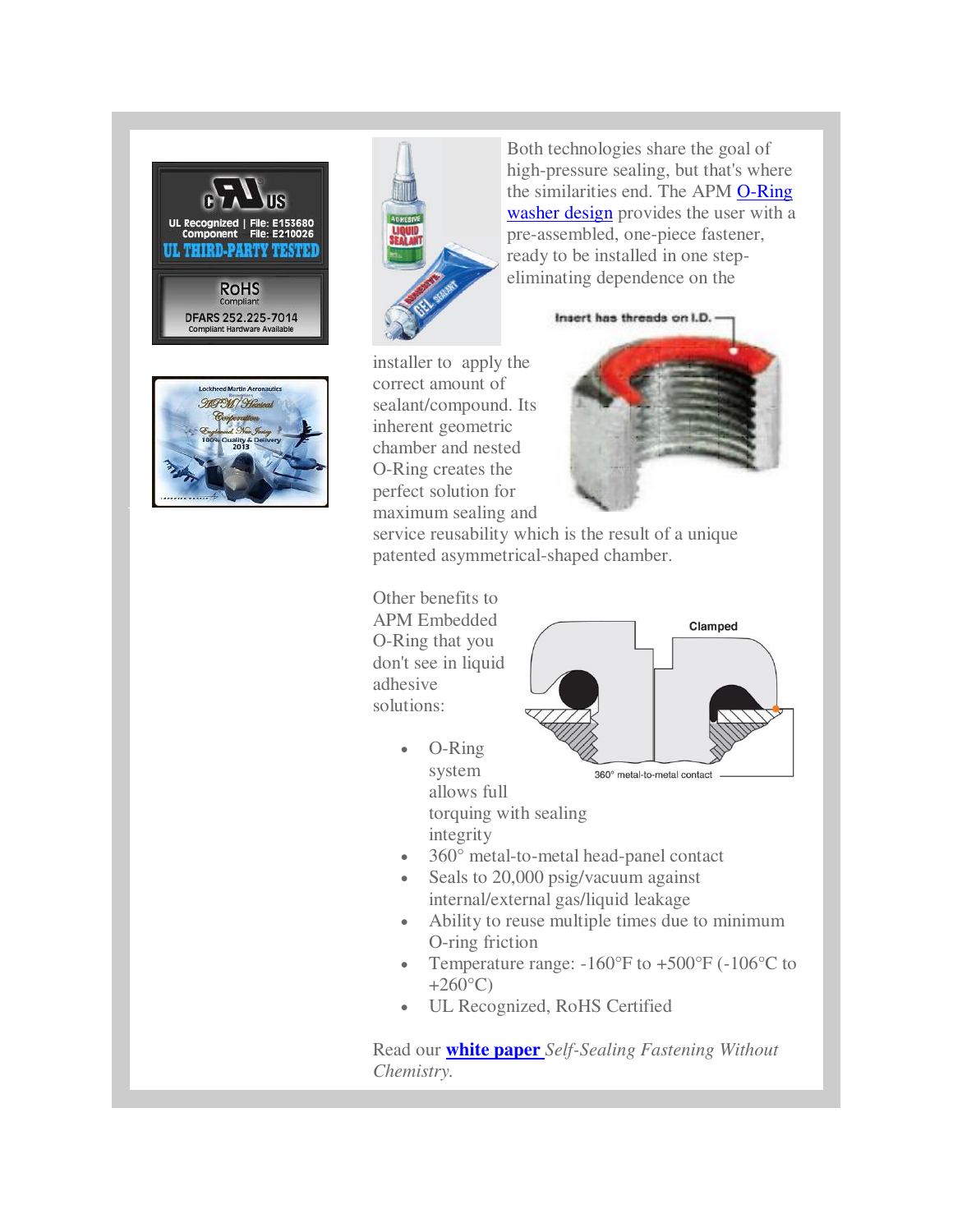





Both technologies share the goal of high-pressure sealing, but that's where the similarities end. The APM [O-Ring](http://r20.rs6.net/tn.jsp?f=001NGVO_AmjkIiwyyn3DSgqen-hNv2t4K0JjHLahY8VzpsLFbFt2m1yXQKFe6AiZEhkQAA977bmQNQFLkCp14YyzNnZVc2tgeZTXvx_wSmHmolzdsH6HiHeyFdy19Ak1ZHgijxj4TH_TtOmKvqFv6hp_l0s04MAzmh0svfo2G67BPbK5kWERXgoTb1W68bUqVifu_tpG1dtR5T6LgXsBRLV1F6XcE2Nl3W-j438EvmPjBUDN0pAfyfeKgaAjFZTnwb5nBrw9d-abxVWJG9-Uv5v2Uvkdi8EaZHR7Me6ai65y9DNY2_UwlOvwBpuYseY_jnZ&c=_NiZWoUiv9lbgd1bVUhpEgUuNLMsHKQmZmjL0NGGtoYhlA4T5_BUmg==&ch=lIWEGYIyKVLUt5Zh2hQYb9yU0OdQiMCFjAqFrCtJ0yFn6r21lbCspQ==)  [washer design](http://r20.rs6.net/tn.jsp?f=001NGVO_AmjkIiwyyn3DSgqen-hNv2t4K0JjHLahY8VzpsLFbFt2m1yXQKFe6AiZEhkQAA977bmQNQFLkCp14YyzNnZVc2tgeZTXvx_wSmHmolzdsH6HiHeyFdy19Ak1ZHgijxj4TH_TtOmKvqFv6hp_l0s04MAzmh0svfo2G67BPbK5kWERXgoTb1W68bUqVifu_tpG1dtR5T6LgXsBRLV1F6XcE2Nl3W-j438EvmPjBUDN0pAfyfeKgaAjFZTnwb5nBrw9d-abxVWJG9-Uv5v2Uvkdi8EaZHR7Me6ai65y9DNY2_UwlOvwBpuYseY_jnZ&c=_NiZWoUiv9lbgd1bVUhpEgUuNLMsHKQmZmjL0NGGtoYhlA4T5_BUmg==&ch=lIWEGYIyKVLUt5Zh2hQYb9yU0OdQiMCFjAqFrCtJ0yFn6r21lbCspQ==) provides the user with a pre-assembled, one-piece fastener, ready to be installed in one stepeliminating dependence on the

installer to apply the correct amount of sealant/compound. Its inherent geometric chamber and nested O-Ring creates the perfect solution for maximum sealing and



service reusability which is the result of a unique patented asymmetrical-shaped chamber.

Other benefits to APM Embedded O-Ring that you don't see in liquid adhesive solutions:

- Clamped 360° metal-to-metal contact
- O-Ring system allows full torquing with sealing integrity
- 360° metal-to-metal head-panel contact
- Seals to 20,000 psig/vacuum against internal/external gas/liquid leakage
- Ability to reuse multiple times due to minimum O-ring friction
- Temperature range: -160°F to +500°F (-106°C to  $+260$ °C)
- UL Recognized, RoHS Certified

Read our **[white paper](http://r20.rs6.net/tn.jsp?f=001NGVO_AmjkIiwyyn3DSgqen-hNv2t4K0JjHLahY8VzpsLFbFt2m1yXQKFe6AiZEhkDD-VPjFis3Q6WXcsfHEQ8z4rMc_wJm0JuL8xPTWHRwtJ-BqivCLS6sQC1-fr00VKDbHKA9-Dwa9OZNFx9Tc4yZykvj5ajECFs1VGzoE2VUrIm3t2P720brvktkSXZCgVVdtySLWYOZ5xJ3ZxNtTVDHxua7x8d49X8PYVarfM_d9Hd08xrDEDgf1J-mfdBeGPc1XkR2J1HmDq0B8QT1tCAgwhTxM5akHSmX4gFdc9CSFRmPGDtfJPKdl-X6GyCv2Tnu9f5wb0EobbMw2p0lUBDJfx3S7qrzsG3NzQ9DIEYE29qO1mQkj86w==&c=_NiZWoUiv9lbgd1bVUhpEgUuNLMsHKQmZmjL0NGGtoYhlA4T5_BUmg==&ch=lIWEGYIyKVLUt5Zh2hQYb9yU0OdQiMCFjAqFrCtJ0yFn6r21lbCspQ==)** *Self-Sealing Fastening Without Chemistry.*